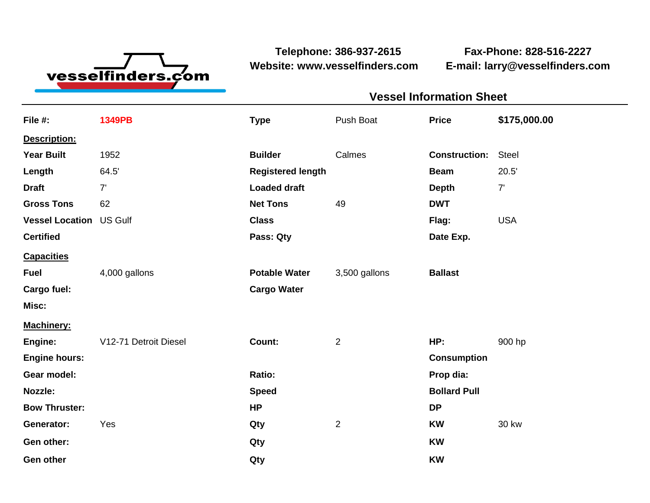

**Telephone: 386-937-2615 Fax-Phone: 828-516-2227 Website: www.vesselfinders.com E-mail: larry@vesselfinders.com**

| <b>Vessel Information Sheet</b>     |  |
|-------------------------------------|--|
| Push Boat <b>Price</b> \$175,000.00 |  |
|                                     |  |
| <b>Construction: Steel</b>          |  |
| <b>Beam</b> 20.5'                   |  |
| <b>Depth</b>                        |  |
|                                     |  |
| Flag: USA                           |  |
| Date Exp.                           |  |
|                                     |  |
| Potable Water 3,500 gallons Ballast |  |
|                                     |  |
|                                     |  |
| <b>HP:</b> 900 hp                   |  |
| <b>Consumption</b>                  |  |
| Prop dia:                           |  |
| <b>Bollard Pull</b>                 |  |
|                                     |  |
| <b>KW</b> 30 kw                     |  |
|                                     |  |